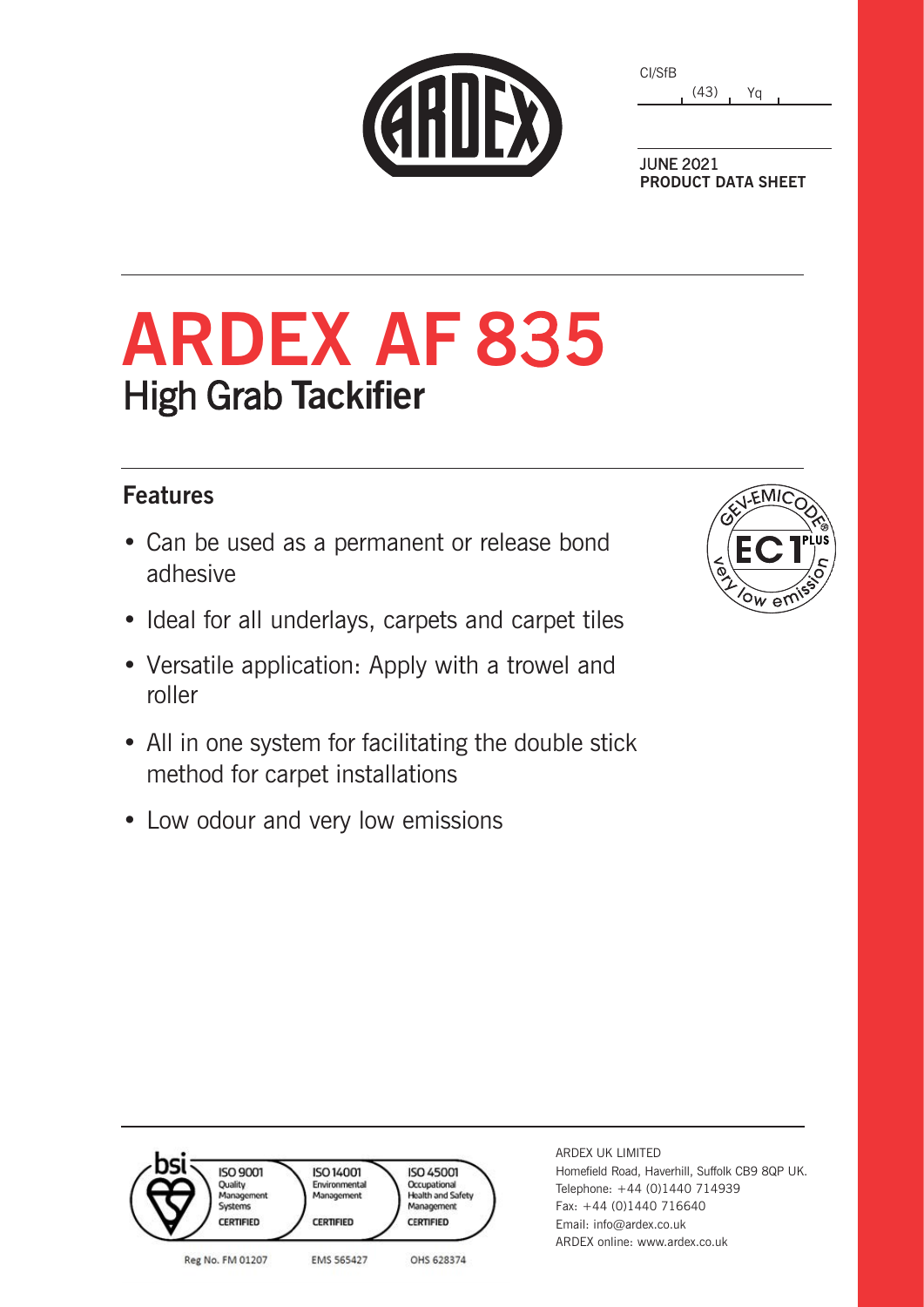| <b>CERDEX</b> |  |
|---------------|--|
|               |  |
|               |  |

| CI/SfB |      |    |  |
|--------|------|----|--|
|        | (43) | Ya |  |

JUNE 2021 **PRODUCT DATA SHEET**

# **ARDEX AF 8**3**5** High Grab **Tackifier**

### **Features**

- Can be used as a permanent or release bond adhesive
- Ideal for all underlays, carpets and carpet tiles
- Versatile application: Apply with a trowel and roller
- All in one system for facilitating the double stick method for carpet installations
- Low odour and very low emissions



| OS'<br><b>ISO 9001</b><br>Quality<br>Management<br>Systems<br><b>CERTIFIED</b> | <b>ISO 14001</b><br>Environmental<br>Management<br><b>CERTIFIED</b> | <b>ISO 45001</b><br>Occupational<br><b>Health and Safety</b><br>Management<br><b>CERTIFIED</b> |
|--------------------------------------------------------------------------------|---------------------------------------------------------------------|------------------------------------------------------------------------------------------------|
| Reg No. FM 01207                                                               | EMS 565427                                                          | OHS 628374                                                                                     |

ARDEX UK LIMITED Homefield Road, Haverhill, Suffolk CB9 8QP UK. Telephone: +44 (0)1440 714939 Fax: +44 (0)1440 716640 Email: info@ardex.co.uk ARDEX online: www.ardex.co.uk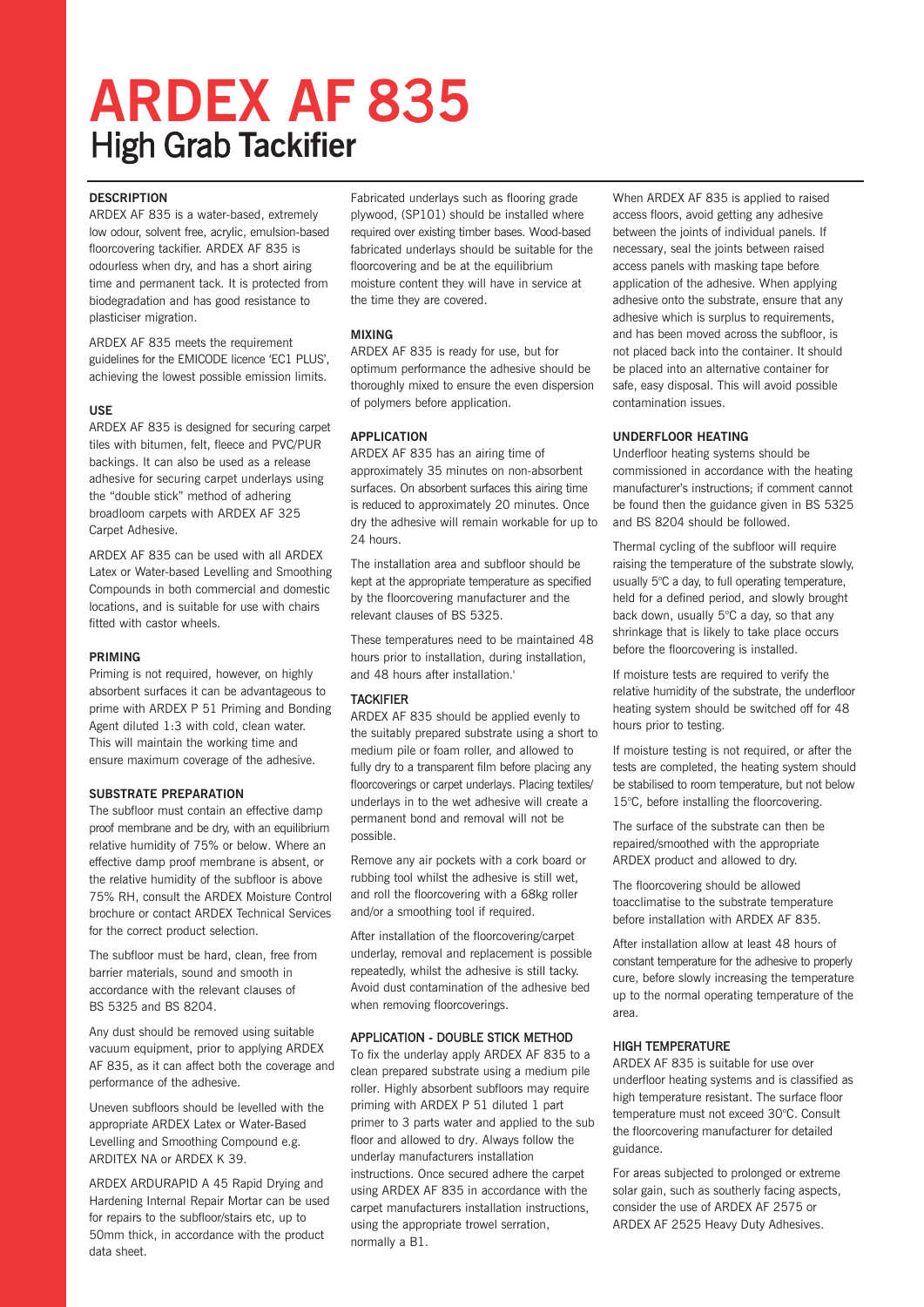## **ARDEX AF 8**3**5** High Grab **Tackifier**

#### **DESCRIPTION**

ARDEX AF 835 is a water-based, extremely low odour, solvent free, acrylic, emulsion-based floorcovering tackifier. ARDEX AF 835 is odourless when dry, and has a short airing time and permanent tack. It is protected from biodegradation and has good resistance to plasticiser migration.

ARDEX AF 835 meets the requirement guidelines for the EMICODE licence 'EC1 PLUS', achieving the lowest possible emission limits.

#### **USE**

ARDEX AF 835 is designed for securing carpet tiles with bitumen, felt, fleece and PVC/PUR backings. It can also be used as a release adhesive for securing carpet underlays using the "double stick" method of adhering broadloom carpets with ARDEX AF 325 Carpet Adhesive.

ARDEX AF 835 can be used with all ARDEX Latex or Water-based Levelling and Smoothing Compounds in both commercial and domestic locations, and is suitable for use with chairs fitted with castor wheels.

#### **PRIMING**

Priming is not required, however, on highly absorbent surfaces it can be advantageous to prime with ARDEX P 51 Priming and Bonding Agent diluted 1:3 with cold, clean water. This will maintain the working time and ensure maximum coverage of the adhesive.

#### **SUBSTRATE PREPARATION**

The subfloor must contain an effective damp proof membrane and be dry, with an equilibrium relative humidity of 75% or below. Where an effective damp proof membrane is absent, or the relative humidity of the subfloor is above 75% RH, consult the ARDEX Moisture Control brochure or contact ARDEX Technical Services for the correct product selection.

The subfloor must be hard, clean, free from barrier materials, sound and smooth in accordance with the relevant clauses of BS 5325 and BS 8204.

Any dust should be removed using suitable vacuum equipment, prior to applying ARDEX AF 835, as it can affect both the coverage and performance of the adhesive.

Uneven subfloors should be levelled with the appropriate ARDEX Latex or Water-Based Levelling and Smoothing Compound e.g. ARDITEX NA or ARDEX K 39.

ARDEX ARDURAPID A 45 Rapid Drying and Hardening Internal Repair Mortar can be used for repairs to the subfloor/stairs etc, up to 50mm thick, in accordance with the product data sheet.

Fabricated underlays such as flooring grade plywood, (SP101) should be installed where required over existing timber bases. Wood-based fabricated underlays should be suitable for the floorcovering and be at the equilibrium moisture content they will have in service at the time they are covered.

#### **MIXING**

ARDEX AF 835 is ready for use, but for optimum performance the adhesive should be thoroughly mixed to ensure the even dispersion of polymers before application.

#### **APPLICATION**

ARDEX AF 835 has an airing time of approximately 35 minutes on non-absorbent surfaces. On absorbent surfaces this airing time is reduced to approximately 20 minutes. Once dry the adhesive will remain workable for up to 24 hours.

The installation area and subfloor should be kept at the appropriate temperature as specified by the floorcovering manufacturer and the relevant clauses of BS 5325.

These temperatures need to be maintained 48 hours prior to installation, during installation, and 48 hours after installation.'

#### **TACKIFIFR**

ARDEX AF 835 should be applied evenly to the suitably prepared substrate using a short to medium pile or foam roller, and allowed to fully dry to a transparent film before placing any floorcoverings or carpet underlays. Placing textiles/ underlays in to the wet adhesive will create a permanent bond and removal will not be possible.

Remove any air pockets with a cork board or rubbing tool whilst the adhesive is still wet, and roll the floorcovering with a 68kg roller and/or a smoothing tool if required.

After installation of the floorcovering/carpet underlay, removal and replacement is possible repeatedly, whilst the adhesive is still tacky. Avoid dust contamination of the adhesive bed when removing floorcoverings.

#### APPLICATION - DOUBLE STICK METHOD

To fix the underlay apply ARDEX AF 835 to a clean prepared substrate using a medium pile roller. Highly absorbent subfloors may require priming with ARDEX P 51 diluted 1 part primer to 3 parts water and applied to the sub floor and allowed to dry. Always follow the underlay manufacturers installation instructions. Once secured adhere the carpet using ARDEX AF 835 in accordance with the carpet manufacturers installation instructions, using the appropriate trowel serration, normally a B1.

When ARDEX AF 835 is applied to raised access floors, avoid getting any adhesive between the joints of individual panels. If necessary, seal the joints between raised access panels with masking tape before application of the adhesive. When applying adhesive onto the substrate, ensure that any adhesive which is surplus to requirements, and has been moved across the subfloor, is not placed back into the container. It should be placed into an alternative container for safe, easy disposal. This will avoid possible contamination issues.

#### **UNDERFLOOR HEATING**

Underfloor heating systems should be commissioned in accordance with the heating manufacturer's instructions; if comment cannot be found then the guidance given in BS 5325 and BS 8204 should be followed.

Thermal cycling of the subfloor will require raising the temperature of the substrate slowly, usually 5°C a day, to full operating temperature, held for a defined period, and slowly brought back down, usually 5°C a day, so that any shrinkage that is likely to take place occurs before the floorcovering is installed.

If moisture tests are required to verify the relative humidity of the substrate, the underfloor heating system should be switched off for 48 hours prior to testing.

If moisture testing is not required, or after the tests are completed, the heating system should be stabilised to room temperature, but not below 15°C, before installing the floorcovering.

The surface of the substrate can then be repaired/smoothed with the appropriate ARDEX product and allowed to dry.

The floorcovering should be allowed toacclimatise to the substrate temperature before installation with ARDEX AF 835.

After installation allow at least 48 hours of constant temperature for the adhesive to properly cure, before slowly increasing the temperature up to the normal operating temperature of the area.

#### HIGH TEMPERATURE

ARDEX AF 835 is suitable for use over underfloor heating systems and is classified as high temperature resistant. The surface floor temperature must not exceed 30°C. Consult the floorcovering manufacturer for detailed guidance.

For areas subjected to prolonged or extreme solar gain, such as southerly facing aspects, consider the use of ARDEX AF 2575 or ARDEX AF 2525 Heavy Duty Adhesives.